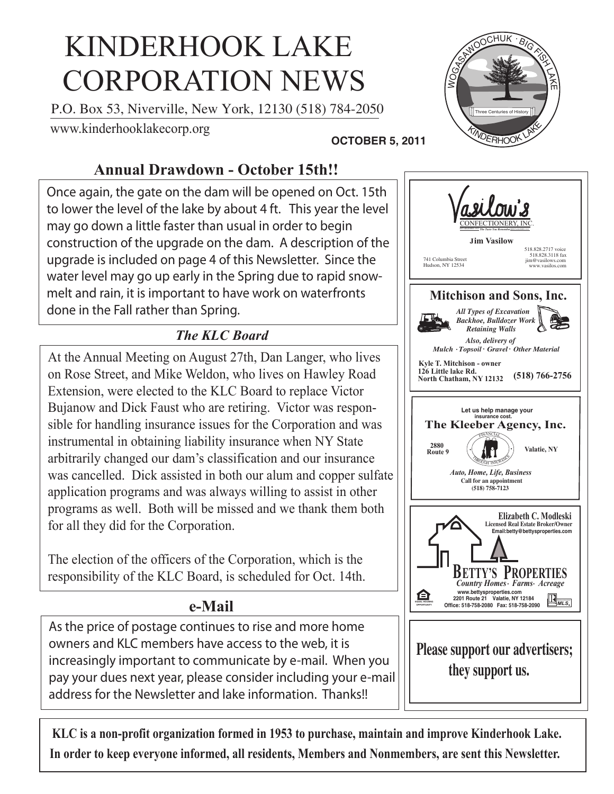# KINDERHOOK LAKE CORPORATION NEWS

P.O. Box 53, Niverville, New York, 12130 (518) 784-2050

www.kinderhooklakecorp.org

#### **OCTOBER 5, 2011**

# **Annual Drawdown - October 15th!!**

Once again, the gate on the dam will be opened on Oct. 15th to lower the level of the lake by about 4 ft. This year the level may go down a little faster than usual in order to begin construction of the upgrade on the dam. A description of the upgrade is included on page 4 of this Newsletter. Since the water level may go up early in the Spring due to rapid snowmelt and rain, it is important to have work on waterfronts done in the Fall rather than Spring.

## *The KLC Board*

At the Annual Meeting on August 27th, Dan Langer, who lives on Rose Street, and Mike Weldon, who lives on Hawley Road Extension, were elected to the KLC Board to replace Victor Bujanow and Dick Faust who are retiring. Victor was responsible for handling insurance issues for the Corporation and was instrumental in obtaining liability insurance when NY State arbitrarily changed our dam's classification and our insurance was cancelled. Dick assisted in both our alum and copper sulfate application programs and was always willing to assist in other programs as well. Both will be missed and we thank them both for all they did for the Corporation.

The election of the officers of the Corporation, which is the responsibility of the KLC Board, is scheduled for Oct. 14th.

## **e-Mail**

As the price of postage continues to rise and more home owners and KLC members have access to the web, it is increasingly important to communicate by e-mail. When you pay your dues next year, please consider including your e-mail address for the Newsletter and lake information. Thanks!!



**KLC is a non-profit organization formed in 1953 to purchase, maintain and improve Kinderhook Lake. In order to keep everyone informed, all residents, Members and Nonmembers, are sent this Newsletter.**

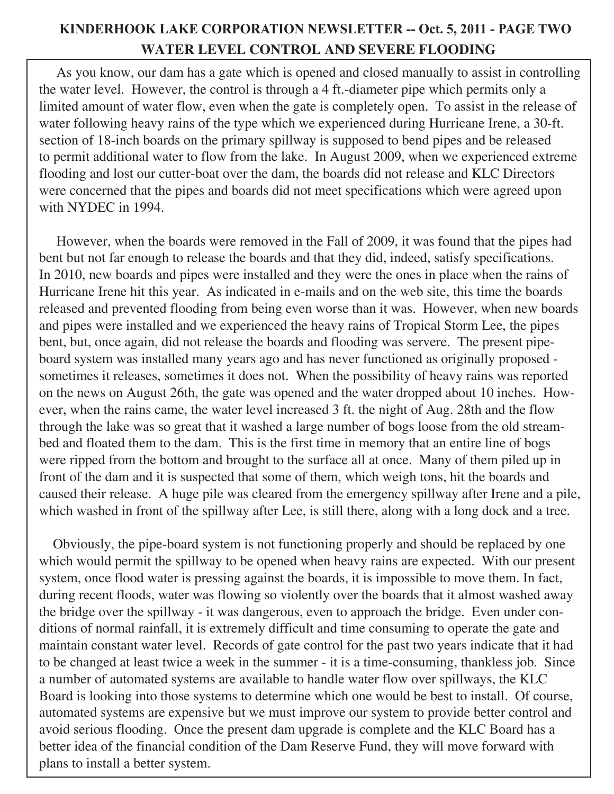#### **KINDERHOOK LAKE CORPORATION NEWSLETTER -- Oct. 5, 2011 - PAGE TWO WATER LEVEL CONTROL AND SEVERE FLOODING**

 As you know, our dam has a gate which is opened and closed manually to assist in controlling the water level. However, the control is through a 4 ft.-diameter pipe which permits only a limited amount of water flow, even when the gate is completely open. To assist in the release of water following heavy rains of the type which we experienced during Hurricane Irene, a 30-ft. section of 18-inch boards on the primary spillway is supposed to bend pipes and be released to permit additional water to flow from the lake. In August 2009, when we experienced extreme flooding and lost our cutter-boat over the dam, the boards did not release and KLC Directors were concerned that the pipes and boards did not meet specifications which were agreed upon with NYDEC in 1994.

 However, when the boards were removed in the Fall of 2009, it was found that the pipes had bent but not far enough to release the boards and that they did, indeed, satisfy specifications. In 2010, new boards and pipes were installed and they were the ones in place when the rains of Hurricane Irene hit this year. As indicated in e-mails and on the web site, this time the boards released and prevented flooding from being even worse than it was. However, when new boards and pipes were installed and we experienced the heavy rains of Tropical Storm Lee, the pipes bent, but, once again, did not release the boards and flooding was servere. The present pipeboard system was installed many years ago and has never functioned as originally proposed sometimes it releases, sometimes it does not. When the possibility of heavy rains was reported on the news on August 26th, the gate was opened and the water dropped about 10 inches. However, when the rains came, the water level increased 3 ft. the night of Aug. 28th and the flow through the lake was so great that it washed a large number of bogs loose from the old streambed and floated them to the dam. This is the first time in memory that an entire line of bogs were ripped from the bottom and brought to the surface all at once. Many of them piled up in front of the dam and it is suspected that some of them, which weigh tons, hit the boards and caused their release. A huge pile was cleared from the emergency spillway after Irene and a pile, which washed in front of the spillway after Lee, is still there, along with a long dock and a tree.

 Obviously, the pipe-board system is not functioning properly and should be replaced by one which would permit the spillway to be opened when heavy rains are expected. With our present system, once flood water is pressing against the boards, it is impossible to move them. In fact, during recent floods, water was flowing so violently over the boards that it almost washed away the bridge over the spillway - it was dangerous, even to approach the bridge. Even under conditions of normal rainfall, it is extremely difficult and time consuming to operate the gate and maintain constant water level. Records of gate control for the past two years indicate that it had to be changed at least twice a week in the summer - it is a time-consuming, thankless job. Since a number of automated systems are available to handle water flow over spillways, the KLC Board is looking into those systems to determine which one would be best to install. Of course, automated systems are expensive but we must improve our system to provide better control and avoid serious flooding. Once the present dam upgrade is complete and the KLC Board has a better idea of the financial condition of the Dam Reserve Fund, they will move forward with plans to install a better system.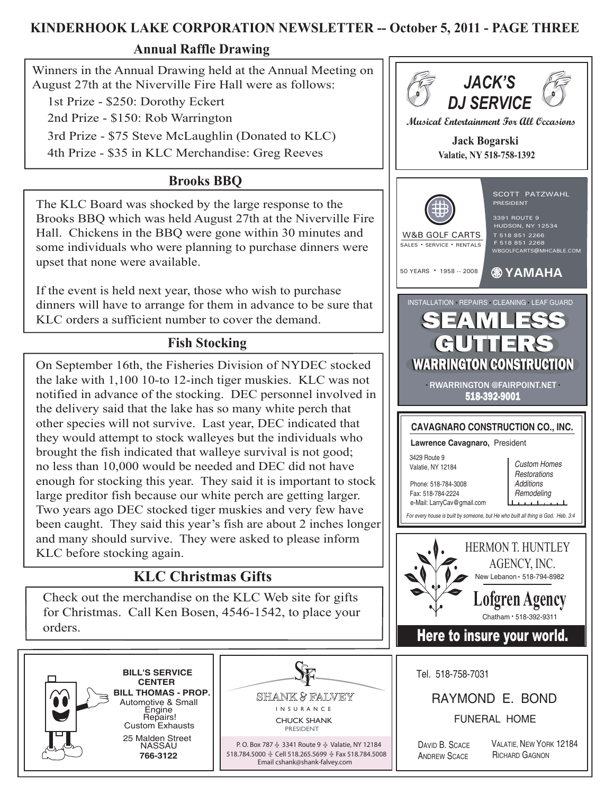#### **KINDERHOOK LAKE CORPORATION NEWSLETTER -- October 5, 2011 - PAGE THREE**

#### **Annual Raffle Drawing**

Winners in the Annual Drawing held at the Annual Meeting on August 27th at the Niverville Fire Hall were as follows:

1st Prize - \$250: Dorothy Eckert

2nd Prize - \$150: Rob Warrington

3rd Prize - \$75 Steve McLaughlin (Donated to KLC)

4th Prize - \$35 in KLC Merchandise: Greg Reeves

## **Brooks BBQ**

The KLC Board was shocked by the large response to the Brooks BBQ which was held August 27th at the Niverville Fire Hall. Chickens in the BBQ were gone within 30 minutes and some individuals who were planning to purchase dinners were upset that none were available.

If the event is held next year, those who wish to purchase dinners will have to arrange for them in advance to be sure that KLC orders a sufficient number to cover the demand.

## **Fish Stocking**

On September 16th, the Fisheries Division of NYDEC stocked the lake with 1,100 10-to 12-inch tiger muskies. KLC was not notified in advance of the stocking. DEC personnel involved in the delivery said that the lake has so many white perch that other species will not survive. Last year, DEC indicated that they would attempt to stock walleyes but the individuals who brought the fish indicated that walleye survival is not good; no less than 10,000 would be needed and DEC did not have enough for stocking this year. They said it is important to stock large preditor fish because our white perch are getting larger. Two years ago DEC stocked tiger muskies and very few have been caught. They said this year's fish are about 2 inches longer and many should survive. They were asked to please inform KLC before stocking again.

# **KLC Christmas Gifts**

Check out the merchandise on the KLC Web site for gifts for Christmas. Call Ken Bosen, 4546-1542, to place your orders.





I N S U R A N C E CHUCK SHANK PRESIDENT

P. O. Box 787 ♣ 3341 Route 9 ♣ Valatie, NY 12184 518.784.5000 Cell 518.265.5699 Fax 518.784.5008 Email cshank@shank-falvey.com